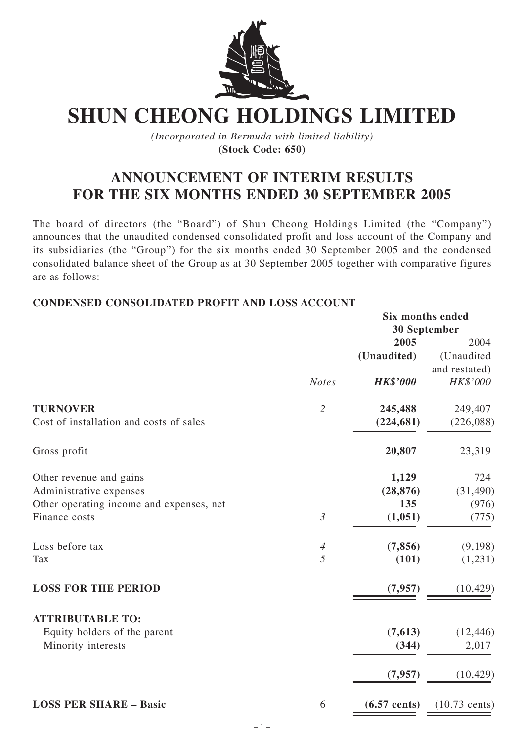

# **SHUN CHEONG HOLDINGS LIMITED**

*(Incorporated in Bermuda with limited liability)* **(Stock Code: 650)**

# **ANNOUNCEMENT OF INTERIM RESULTS FOR THE SIX MONTHS ENDED 30 SEPTEMBER 2005**

The board of directors (the "Board") of Shun Cheong Holdings Limited (the "Company") announces that the unaudited condensed consolidated profit and loss account of the Company and its subsidiaries (the "Group") for the six months ended 30 September 2005 and the condensed consolidated balance sheet of the Group as at 30 September 2005 together with comparative figures are as follows:

#### **CONDENSED CONSOLIDATED PROFIT AND LOSS ACCOUNT**

|                                          |                | <b>Six months ended</b> |                         |
|------------------------------------------|----------------|-------------------------|-------------------------|
|                                          |                | 30 September            |                         |
|                                          |                | 2005                    | 2004                    |
|                                          |                | (Unaudited)             | (Unaudited              |
|                                          |                |                         | and restated)           |
|                                          | <b>Notes</b>   | <b>HK\$'000</b>         | HK\$'000                |
| <b>TURNOVER</b>                          | $\overline{2}$ | 245,488                 | 249,407                 |
| Cost of installation and costs of sales  |                | (224, 681)              | (226,088)               |
| Gross profit                             |                | 20,807                  | 23,319                  |
| Other revenue and gains                  |                | 1,129                   | 724                     |
| Administrative expenses                  |                | (28, 876)               | (31, 490)               |
| Other operating income and expenses, net |                | 135                     | (976)                   |
| Finance costs                            | $\mathfrak{Z}$ | (1,051)                 | (775)                   |
| Loss before tax                          | $\overline{4}$ | (7, 856)                | (9,198)                 |
| Tax                                      | 5              | (101)                   | (1,231)                 |
| <b>LOSS FOR THE PERIOD</b>               |                | (7, 957)                | (10, 429)               |
| <b>ATTRIBUTABLE TO:</b>                  |                |                         |                         |
| Equity holders of the parent             |                | (7, 613)                | (12, 446)               |
| Minority interests                       |                | (344)                   | 2,017                   |
|                                          |                | (7, 957)                | (10, 429)               |
| <b>LOSS PER SHARE - Basic</b>            | 6              | $(6.57 \text{ cents})$  | $(10.73 \text{ cents})$ |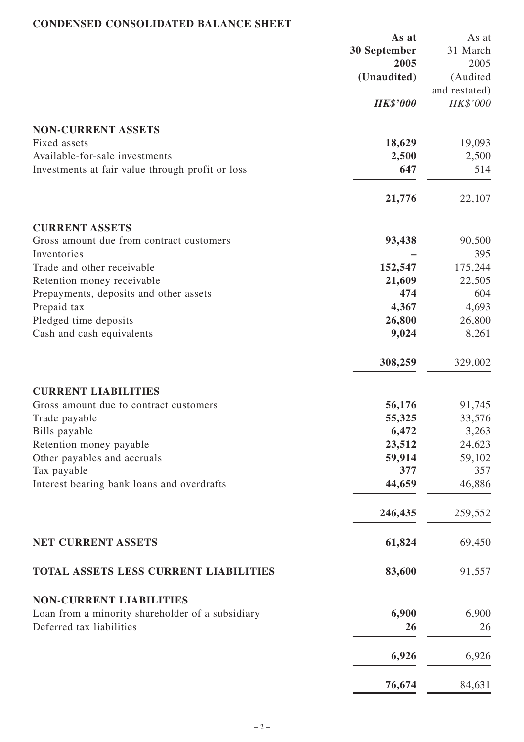### **CONDENSED CONSOLIDATED BALANCE SHEET**

|                                                  | As at           | As at         |
|--------------------------------------------------|-----------------|---------------|
|                                                  | 30 September    | 31 March      |
|                                                  | 2005            | 2005          |
|                                                  | (Unaudited)     | (Audited      |
|                                                  |                 | and restated) |
|                                                  | <b>HK\$'000</b> | HK\$'000      |
|                                                  |                 |               |
| <b>NON-CURRENT ASSETS</b>                        |                 |               |
| Fixed assets                                     | 18,629          | 19,093        |
| Available-for-sale investments                   | 2,500           | 2,500         |
| Investments at fair value through profit or loss | 647             | 514           |
|                                                  | 21,776          | 22,107        |
| <b>CURRENT ASSETS</b>                            |                 |               |
| Gross amount due from contract customers         | 93,438          | 90,500        |
| Inventories                                      |                 | 395           |
| Trade and other receivable                       | 152,547         | 175,244       |
| Retention money receivable                       | 21,609          | 22,505        |
|                                                  | 474             |               |
| Prepayments, deposits and other assets           |                 | 604           |
| Prepaid tax                                      | 4,367           | 4,693         |
| Pledged time deposits                            | 26,800          | 26,800        |
| Cash and cash equivalents                        | 9,024           | 8,261         |
|                                                  | 308,259         | 329,002       |
| <b>CURRENT LIABILITIES</b>                       |                 |               |
| Gross amount due to contract customers           | 56,176          | 91,745        |
| Trade payable                                    | 55,325          | 33,576        |
| Bills payable                                    | 6,472           | 3,263         |
| Retention money payable                          | 23,512          | 24,623        |
| Other payables and accruals                      | 59,914          | 59,102        |
| Tax payable                                      | 377             | 357           |
| Interest bearing bank loans and overdrafts       | 44,659          | 46,886        |
|                                                  | 246,435         | 259,552       |
| <b>NET CURRENT ASSETS</b>                        | 61,824          | 69,450        |
|                                                  |                 |               |
| TOTAL ASSETS LESS CURRENT LIABILITIES            | 83,600          | 91,557        |
| <b>NON-CURRENT LIABILITIES</b>                   |                 |               |
| Loan from a minority shareholder of a subsidiary | 6,900           | 6,900         |
| Deferred tax liabilities                         | 26              | 26            |
|                                                  | 6,926           | 6,926         |
|                                                  | 76,674          | 84,631        |
|                                                  |                 |               |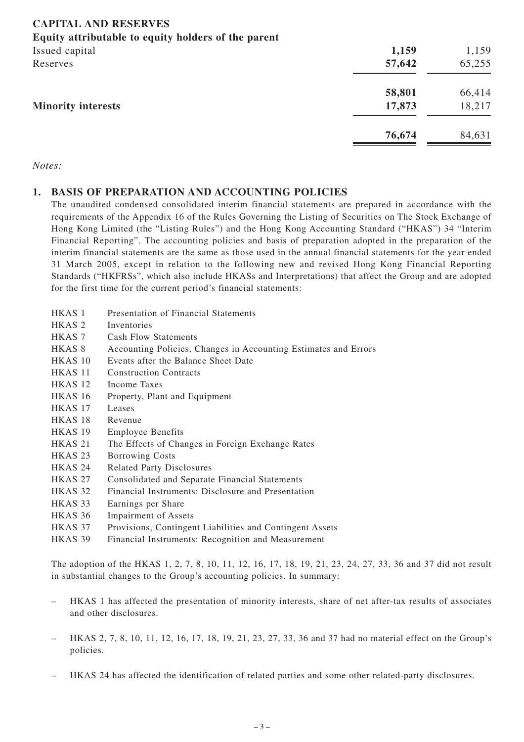# **CAPITAL AND RESERVES**

#### **Equity attributable to equity holders of the parent**

| . .<br>$\overline{\phantom{a}}$<br>Issued capital<br>Reserves | 1,159<br>57,642  | 1,159<br>65,255  |
|---------------------------------------------------------------|------------------|------------------|
| <b>Minority interests</b>                                     | 58,801<br>17,873 | 66,414<br>18,217 |
|                                                               | 76,674           | 84,631           |

#### *Notes:*

#### **1. BASIS OF PREPARATION AND ACCOUNTING POLICIES**

The unaudited condensed consolidated interim financial statements are prepared in accordance with the requirements of the Appendix 16 of the Rules Governing the Listing of Securities on The Stock Exchange of Hong Kong Limited (the "Listing Rules") and the Hong Kong Accounting Standard ("HKAS") 34 "Interim Financial Reporting". The accounting policies and basis of preparation adopted in the preparation of the interim financial statements are the same as those used in the annual financial statements for the year ended 31 March 2005, except in relation to the following new and revised Hong Kong Financial Reporting Standards ("HKFRSs", which also include HKASs and Interpretations) that affect the Group and are adopted for the first time for the current period's financial statements:

- HKAS 1 Presentation of Financial Statements
- HKAS 2 Inventories
- HKAS 7 Cash Flow Statements
- HKAS 8 Accounting Policies, Changes in Accounting Estimates and Errors
- HKAS 10 Events after the Balance Sheet Date
- HKAS 11 Construction Contracts
- HKAS 12 Income Taxes
- HKAS 16 Property, Plant and Equipment
- HKAS 17 Leases
- HKAS 18 Revenue
- HKAS 19 Employee Benefits
- HKAS 21 The Effects of Changes in Foreign Exchange Rates
- HKAS 23 Borrowing Costs
- HKAS 24 Related Party Disclosures
- HKAS 27 Consolidated and Separate Financial Statements
- HKAS 32 Financial Instruments: Disclosure and Presentation
- HKAS 33 Earnings per Share
- HKAS 36 Impairment of Assets
- HKAS 37 Provisions, Contingent Liabilities and Contingent Assets
- HKAS 39 Financial Instruments: Recognition and Measurement

The adoption of the HKAS 1, 2, 7, 8, 10, 11, 12, 16, 17, 18, 19, 21, 23, 24, 27, 33, 36 and 37 did not result in substantial changes to the Group's accounting policies. In summary:

- HKAS 1 has affected the presentation of minority interests, share of net after-tax results of associates and other disclosures.
- HKAS 2, 7, 8, 10, 11, 12, 16, 17, 18, 19, 21, 23, 27, 33, 36 and 37 had no material effect on the Group's policies.
- HKAS 24 has affected the identification of related parties and some other related-party disclosures.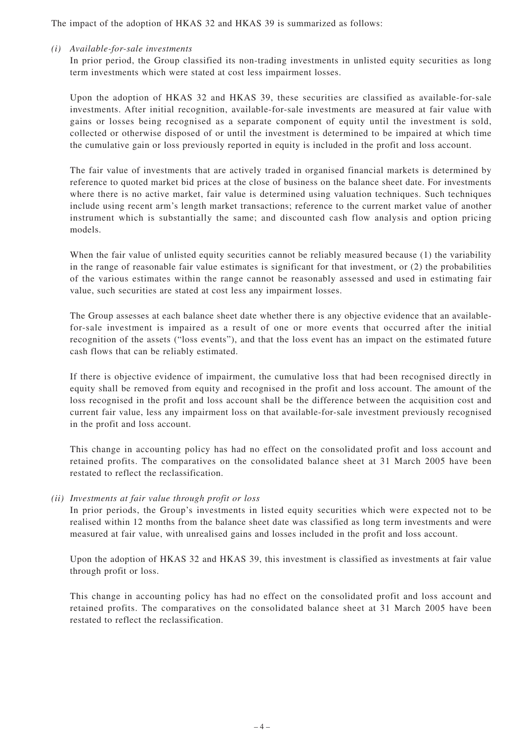The impact of the adoption of HKAS 32 and HKAS 39 is summarized as follows:

*(i) Available-for-sale investments*

In prior period, the Group classified its non-trading investments in unlisted equity securities as long term investments which were stated at cost less impairment losses.

Upon the adoption of HKAS 32 and HKAS 39, these securities are classified as available-for-sale investments. After initial recognition, available-for-sale investments are measured at fair value with gains or losses being recognised as a separate component of equity until the investment is sold, collected or otherwise disposed of or until the investment is determined to be impaired at which time the cumulative gain or loss previously reported in equity is included in the profit and loss account.

The fair value of investments that are actively traded in organised financial markets is determined by reference to quoted market bid prices at the close of business on the balance sheet date. For investments where there is no active market, fair value is determined using valuation techniques. Such techniques include using recent arm's length market transactions; reference to the current market value of another instrument which is substantially the same; and discounted cash flow analysis and option pricing models.

When the fair value of unlisted equity securities cannot be reliably measured because (1) the variability in the range of reasonable fair value estimates is significant for that investment, or (2) the probabilities of the various estimates within the range cannot be reasonably assessed and used in estimating fair value, such securities are stated at cost less any impairment losses.

The Group assesses at each balance sheet date whether there is any objective evidence that an availablefor-sale investment is impaired as a result of one or more events that occurred after the initial recognition of the assets ("loss events"), and that the loss event has an impact on the estimated future cash flows that can be reliably estimated.

If there is objective evidence of impairment, the cumulative loss that had been recognised directly in equity shall be removed from equity and recognised in the profit and loss account. The amount of the loss recognised in the profit and loss account shall be the difference between the acquisition cost and current fair value, less any impairment loss on that available-for-sale investment previously recognised in the profit and loss account.

This change in accounting policy has had no effect on the consolidated profit and loss account and retained profits. The comparatives on the consolidated balance sheet at 31 March 2005 have been restated to reflect the reclassification.

#### *(ii) Investments at fair value through profit or loss*

In prior periods, the Group's investments in listed equity securities which were expected not to be realised within 12 months from the balance sheet date was classified as long term investments and were measured at fair value, with unrealised gains and losses included in the profit and loss account.

Upon the adoption of HKAS 32 and HKAS 39, this investment is classified as investments at fair value through profit or loss.

This change in accounting policy has had no effect on the consolidated profit and loss account and retained profits. The comparatives on the consolidated balance sheet at 31 March 2005 have been restated to reflect the reclassification.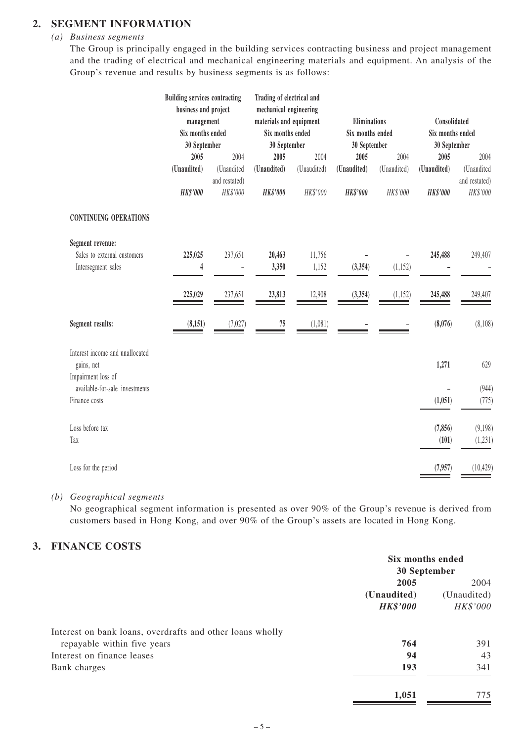### **2. SEGMENT INFORMATION**

#### *(a) Business segments*

The Group is principally engaged in the building services contracting business and project management and the trading of electrical and mechanical engineering materials and equipment. An analysis of the Group's revenue and results by business segments is as follows:

|                                                                     | <b>Building services contracting</b><br>business and project<br>management<br>Six months ended<br>30 September<br>2005<br>(Unaudited)<br>HK\$'000 | 2004<br>(Unaudited<br>and restated)<br>HK\$'000 | Trading of electrical and<br>mechanical engineering<br>materials and equipment<br>Six months ended<br>30 September<br>2005<br>(Unaudited)<br>HK\$'000 | 2004<br>(Unaudited)<br>HK\$'000 | Eliminations<br>Six months ended<br>30 September<br>2005<br>(Unaudited)<br><b>HK\$'000</b> | 2004<br>(Unaudited)<br>HK\$'000 | Consolidated<br>Six months ended<br>30 September<br>2005<br>(Unaudited)<br>HK\$'000 | 2004<br>(Unaudited<br>and restated)<br>HK\$'000 |
|---------------------------------------------------------------------|---------------------------------------------------------------------------------------------------------------------------------------------------|-------------------------------------------------|-------------------------------------------------------------------------------------------------------------------------------------------------------|---------------------------------|--------------------------------------------------------------------------------------------|---------------------------------|-------------------------------------------------------------------------------------|-------------------------------------------------|
| <b>CONTINUING OPERATIONS</b>                                        |                                                                                                                                                   |                                                 |                                                                                                                                                       |                                 |                                                                                            |                                 |                                                                                     |                                                 |
| Segment revenue:                                                    |                                                                                                                                                   |                                                 |                                                                                                                                                       |                                 |                                                                                            |                                 |                                                                                     |                                                 |
| Sales to external customers<br>Intersegment sales                   | 225,025<br>4                                                                                                                                      | 237,651                                         | 20,463<br>3,350                                                                                                                                       | 11,756<br>1,152                 | (3, 354)                                                                                   | (1, 152)                        | 245,488                                                                             | 249,407                                         |
|                                                                     | 225,029                                                                                                                                           | 237,651                                         | 23,813                                                                                                                                                | 12,908                          | (3, 354)                                                                                   | (1, 152)                        | 245,488                                                                             | 249,407                                         |
| Segment results:                                                    | (8, 151)                                                                                                                                          | (7, 027)                                        | 75                                                                                                                                                    | (1,081)                         |                                                                                            |                                 | (8,076)                                                                             | (8,108)                                         |
| Interest income and unallocated<br>gains, net<br>Impairment loss of |                                                                                                                                                   |                                                 |                                                                                                                                                       |                                 |                                                                                            |                                 | 1,271                                                                               | 629                                             |
| available-for-sale investments<br>Finance costs                     |                                                                                                                                                   |                                                 |                                                                                                                                                       |                                 |                                                                                            |                                 | (1,051)                                                                             | (944)<br>(775)                                  |
| Loss before tax<br>Tax                                              |                                                                                                                                                   |                                                 |                                                                                                                                                       |                                 |                                                                                            |                                 | (7, 856)<br>(101)                                                                   | (9, 198)<br>(1, 231)                            |
| Loss for the period                                                 |                                                                                                                                                   |                                                 |                                                                                                                                                       |                                 |                                                                                            |                                 | (7, 957)                                                                            | (10, 429)                                       |

*(b) Geographical segments*

No geographical segment information is presented as over 90% of the Group's revenue is derived from customers based in Hong Kong, and over 90% of the Group's assets are located in Hong Kong.

# **3. FINANCE COSTS**

|                                                           | Six months ended    |                     |  |
|-----------------------------------------------------------|---------------------|---------------------|--|
|                                                           | 30 September        |                     |  |
|                                                           | 2005<br>(Unaudited) | 2004<br>(Unaudited) |  |
|                                                           |                     |                     |  |
|                                                           | <b>HK\$'000</b>     | HK\$'000            |  |
| Interest on bank loans, overdrafts and other loans wholly |                     |                     |  |
| repayable within five years                               | 764                 | 391                 |  |
| Interest on finance leases                                | 94                  | 43                  |  |
| Bank charges                                              | 193                 | 341                 |  |
|                                                           | 1,051               | 775                 |  |
|                                                           |                     |                     |  |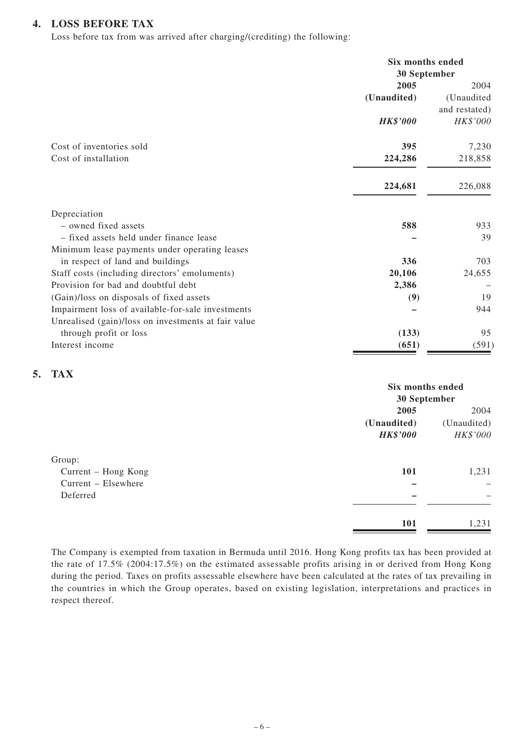#### **4. LOSS BEFORE TAX**

Loss before tax from was arrived after charging/(crediting) the following:

|                                                     | Six months ended<br>30 September |               |
|-----------------------------------------------------|----------------------------------|---------------|
|                                                     | 2005                             | 2004          |
|                                                     | (Unaudited)                      | (Unaudited    |
|                                                     |                                  | and restated) |
|                                                     | <b>HK\$'000</b>                  | HK\$'000      |
| Cost of inventories sold                            | 395                              | 7,230         |
| Cost of installation                                | 224,286                          | 218,858       |
|                                                     | 224,681                          | 226,088       |
| Depreciation                                        |                                  |               |
| - owned fixed assets                                | 588                              | 933           |
| - fixed assets held under finance lease             |                                  | 39            |
| Minimum lease payments under operating leases       |                                  |               |
| in respect of land and buildings                    | 336                              | 703           |
| Staff costs (including directors' emoluments)       | 20,106                           | 24,655        |
| Provision for bad and doubtful debt                 | 2,386                            |               |
| (Gain)/loss on disposals of fixed assets            | (9)                              | 19            |
| Impairment loss of available-for-sale investments   |                                  | 944           |
| Unrealised (gain)/loss on investments at fair value |                                  |               |
| through profit or loss                              | (133)                            | 95            |
| Interest income                                     | (651)                            | (591)         |

#### **5. TAX**

|                     |                          | Six months ended    |  |
|---------------------|--------------------------|---------------------|--|
|                     | 30 September             |                     |  |
|                     | 2005                     | 2004<br>(Unaudited) |  |
|                     | (Unaudited)              |                     |  |
|                     | <b>HK\$'000</b>          | HK\$'000            |  |
| Group:              |                          |                     |  |
| Current - Hong Kong | 101                      | 1,231               |  |
| Current – Elsewhere |                          |                     |  |
| Deferred            | $\overline{\phantom{0}}$ |                     |  |
|                     |                          |                     |  |
|                     | 101                      | 1,231               |  |
|                     |                          |                     |  |

The Company is exempted from taxation in Bermuda until 2016. Hong Kong profits tax has been provided at the rate of 17.5% (2004:17.5%) on the estimated assessable profits arising in or derived from Hong Kong during the period. Taxes on profits assessable elsewhere have been calculated at the rates of tax prevailing in the countries in which the Group operates, based on existing legislation, interpretations and practices in respect thereof.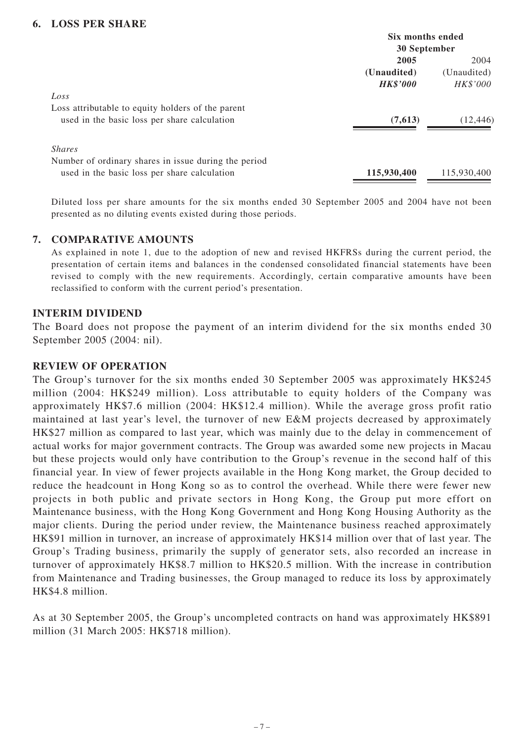#### **6. LOSS PER SHARE**

|                                                      | Six months ended |             |  |
|------------------------------------------------------|------------------|-------------|--|
|                                                      | 30 September     |             |  |
|                                                      | 2005             | 2004        |  |
|                                                      | (Unaudited)      | (Unaudited) |  |
|                                                      | <b>HK\$'000</b>  | HK\$'000    |  |
| Loss                                                 |                  |             |  |
| Loss attributable to equity holders of the parent    |                  |             |  |
| used in the basic loss per share calculation         | (7,613)          | (12, 446)   |  |
| <i>Shares</i>                                        |                  |             |  |
| Number of ordinary shares in issue during the period |                  |             |  |
| used in the basic loss per share calculation         | 115,930,400      | 115,930,400 |  |
|                                                      |                  |             |  |

Diluted loss per share amounts for the six months ended 30 September 2005 and 2004 have not been presented as no diluting events existed during those periods.

#### **7. COMPARATIVE AMOUNTS**

As explained in note 1, due to the adoption of new and revised HKFRSs during the current period, the presentation of certain items and balances in the condensed consolidated financial statements have been revised to comply with the new requirements. Accordingly, certain comparative amounts have been reclassified to conform with the current period's presentation.

#### **INTERIM DIVIDEND**

The Board does not propose the payment of an interim dividend for the six months ended 30 September 2005 (2004: nil).

#### **REVIEW OF OPERATION**

The Group's turnover for the six months ended 30 September 2005 was approximately HK\$245 million (2004: HK\$249 million). Loss attributable to equity holders of the Company was approximately HK\$7.6 million (2004: HK\$12.4 million). While the average gross profit ratio maintained at last year's level, the turnover of new E&M projects decreased by approximately HK\$27 million as compared to last year, which was mainly due to the delay in commencement of actual works for major government contracts. The Group was awarded some new projects in Macau but these projects would only have contribution to the Group's revenue in the second half of this financial year. In view of fewer projects available in the Hong Kong market, the Group decided to reduce the headcount in Hong Kong so as to control the overhead. While there were fewer new projects in both public and private sectors in Hong Kong, the Group put more effort on Maintenance business, with the Hong Kong Government and Hong Kong Housing Authority as the major clients. During the period under review, the Maintenance business reached approximately HK\$91 million in turnover, an increase of approximately HK\$14 million over that of last year. The Group's Trading business, primarily the supply of generator sets, also recorded an increase in turnover of approximately HK\$8.7 million to HK\$20.5 million. With the increase in contribution from Maintenance and Trading businesses, the Group managed to reduce its loss by approximately HK\$4.8 million.

As at 30 September 2005, the Group's uncompleted contracts on hand was approximately HK\$891 million (31 March 2005: HK\$718 million).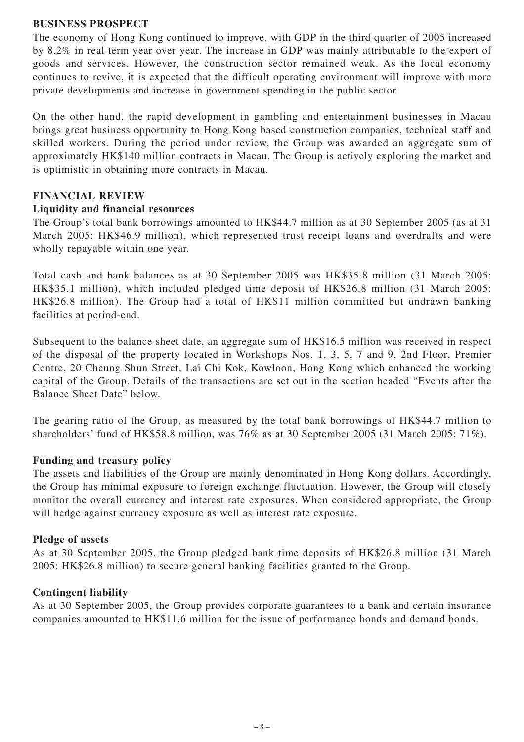#### **BUSINESS PROSPECT**

The economy of Hong Kong continued to improve, with GDP in the third quarter of 2005 increased by 8.2% in real term year over year. The increase in GDP was mainly attributable to the export of goods and services. However, the construction sector remained weak. As the local economy continues to revive, it is expected that the difficult operating environment will improve with more private developments and increase in government spending in the public sector.

On the other hand, the rapid development in gambling and entertainment businesses in Macau brings great business opportunity to Hong Kong based construction companies, technical staff and skilled workers. During the period under review, the Group was awarded an aggregate sum of approximately HK\$140 million contracts in Macau. The Group is actively exploring the market and is optimistic in obtaining more contracts in Macau.

#### **FINANCIAL REVIEW**

#### **Liquidity and financial resources**

The Group's total bank borrowings amounted to HK\$44.7 million as at 30 September 2005 (as at 31 March 2005: HK\$46.9 million), which represented trust receipt loans and overdrafts and were wholly repayable within one year.

Total cash and bank balances as at 30 September 2005 was HK\$35.8 million (31 March 2005: HK\$35.1 million), which included pledged time deposit of HK\$26.8 million (31 March 2005: HK\$26.8 million). The Group had a total of HK\$11 million committed but undrawn banking facilities at period-end.

Subsequent to the balance sheet date, an aggregate sum of HK\$16.5 million was received in respect of the disposal of the property located in Workshops Nos. 1, 3, 5, 7 and 9, 2nd Floor, Premier Centre, 20 Cheung Shun Street, Lai Chi Kok, Kowloon, Hong Kong which enhanced the working capital of the Group. Details of the transactions are set out in the section headed "Events after the Balance Sheet Date" below.

The gearing ratio of the Group, as measured by the total bank borrowings of HK\$44.7 million to shareholders' fund of HK\$58.8 million, was 76% as at 30 September 2005 (31 March 2005: 71%).

#### **Funding and treasury policy**

The assets and liabilities of the Group are mainly denominated in Hong Kong dollars. Accordingly, the Group has minimal exposure to foreign exchange fluctuation. However, the Group will closely monitor the overall currency and interest rate exposures. When considered appropriate, the Group will hedge against currency exposure as well as interest rate exposure.

#### **Pledge of assets**

As at 30 September 2005, the Group pledged bank time deposits of HK\$26.8 million (31 March 2005: HK\$26.8 million) to secure general banking facilities granted to the Group.

#### **Contingent liability**

As at 30 September 2005, the Group provides corporate guarantees to a bank and certain insurance companies amounted to HK\$11.6 million for the issue of performance bonds and demand bonds.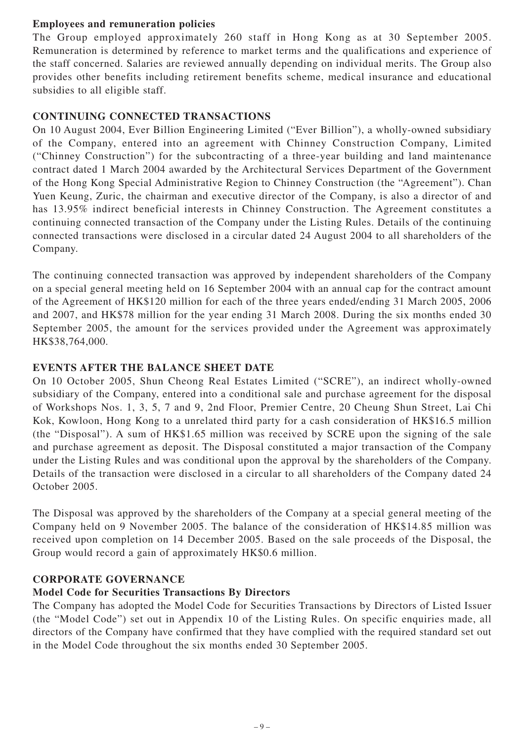### **Employees and remuneration policies**

The Group employed approximately 260 staff in Hong Kong as at 30 September 2005. Remuneration is determined by reference to market terms and the qualifications and experience of the staff concerned. Salaries are reviewed annually depending on individual merits. The Group also provides other benefits including retirement benefits scheme, medical insurance and educational subsidies to all eligible staff.

# **CONTINUING CONNECTED TRANSACTIONS**

On 10 August 2004, Ever Billion Engineering Limited ("Ever Billion"), a wholly-owned subsidiary of the Company, entered into an agreement with Chinney Construction Company, Limited ("Chinney Construction") for the subcontracting of a three-year building and land maintenance contract dated 1 March 2004 awarded by the Architectural Services Department of the Government of the Hong Kong Special Administrative Region to Chinney Construction (the "Agreement"). Chan Yuen Keung, Zuric, the chairman and executive director of the Company, is also a director of and has 13.95% indirect beneficial interests in Chinney Construction. The Agreement constitutes a continuing connected transaction of the Company under the Listing Rules. Details of the continuing connected transactions were disclosed in a circular dated 24 August 2004 to all shareholders of the Company.

The continuing connected transaction was approved by independent shareholders of the Company on a special general meeting held on 16 September 2004 with an annual cap for the contract amount of the Agreement of HK\$120 million for each of the three years ended/ending 31 March 2005, 2006 and 2007, and HK\$78 million for the year ending 31 March 2008. During the six months ended 30 September 2005, the amount for the services provided under the Agreement was approximately HK\$38,764,000.

# **EVENTS AFTER THE BALANCE SHEET DATE**

On 10 October 2005, Shun Cheong Real Estates Limited ("SCRE"), an indirect wholly-owned subsidiary of the Company, entered into a conditional sale and purchase agreement for the disposal of Workshops Nos. 1, 3, 5, 7 and 9, 2nd Floor, Premier Centre, 20 Cheung Shun Street, Lai Chi Kok, Kowloon, Hong Kong to a unrelated third party for a cash consideration of HK\$16.5 million (the "Disposal"). A sum of HK\$1.65 million was received by SCRE upon the signing of the sale and purchase agreement as deposit. The Disposal constituted a major transaction of the Company under the Listing Rules and was conditional upon the approval by the shareholders of the Company. Details of the transaction were disclosed in a circular to all shareholders of the Company dated 24 October 2005.

The Disposal was approved by the shareholders of the Company at a special general meeting of the Company held on 9 November 2005. The balance of the consideration of HK\$14.85 million was received upon completion on 14 December 2005. Based on the sale proceeds of the Disposal, the Group would record a gain of approximately HK\$0.6 million.

#### **CORPORATE GOVERNANCE**

# **Model Code for Securities Transactions By Directors**

The Company has adopted the Model Code for Securities Transactions by Directors of Listed Issuer (the "Model Code") set out in Appendix 10 of the Listing Rules. On specific enquiries made, all directors of the Company have confirmed that they have complied with the required standard set out in the Model Code throughout the six months ended 30 September 2005.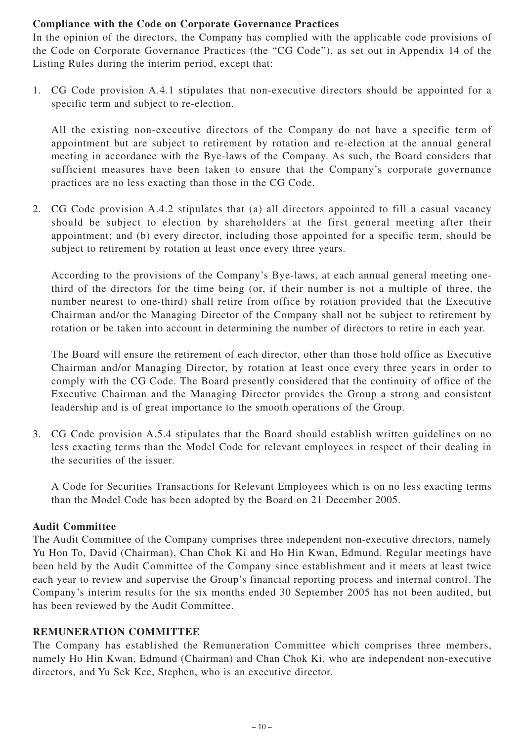# **Compliance with the Code on Corporate Governance Practices**

In the opinion of the directors, the Company has complied with the applicable code provisions of the Code on Corporate Governance Practices (the "CG Code"), as set out in Appendix 14 of the Listing Rules during the interim period, except that:

1. CG Code provision A.4.1 stipulates that non-executive directors should be appointed for a specific term and subject to re-election.

All the existing non-executive directors of the Company do not have a specific term of appointment but are subject to retirement by rotation and re-election at the annual general meeting in accordance with the Bye-laws of the Company. As such, the Board considers that sufficient measures have been taken to ensure that the Company's corporate governance practices are no less exacting than those in the CG Code.

2. CG Code provision A.4.2 stipulates that (a) all directors appointed to fill a casual vacancy should be subject to election by shareholders at the first general meeting after their appointment; and (b) every director, including those appointed for a specific term, should be subject to retirement by rotation at least once every three years.

According to the provisions of the Company's Bye-laws, at each annual general meeting onethird of the directors for the time being (or, if their number is not a multiple of three, the number nearest to one-third) shall retire from office by rotation provided that the Executive Chairman and/or the Managing Director of the Company shall not be subject to retirement by rotation or be taken into account in determining the number of directors to retire in each year.

The Board will ensure the retirement of each director, other than those hold office as Executive Chairman and/or Managing Director, by rotation at least once every three years in order to comply with the CG Code. The Board presently considered that the continuity of office of the Executive Chairman and the Managing Director provides the Group a strong and consistent leadership and is of great importance to the smooth operations of the Group.

3. CG Code provision A.5.4 stipulates that the Board should establish written guidelines on no less exacting terms than the Model Code for relevant employees in respect of their dealing in the securities of the issuer.

A Code for Securities Transactions for Relevant Employees which is on no less exacting terms than the Model Code has been adopted by the Board on 21 December 2005.

#### **Audit Committee**

The Audit Committee of the Company comprises three independent non-executive directors, namely Yu Hon To, David (Chairman), Chan Chok Ki and Ho Hin Kwan, Edmund. Regular meetings have been held by the Audit Committee of the Company since establishment and it meets at least twice each year to review and supervise the Group's financial reporting process and internal control. The Company's interim results for the six months ended 30 September 2005 has not been audited, but has been reviewed by the Audit Committee.

#### **REMUNERATION COMMITTEE**

The Company has established the Remuneration Committee which comprises three members, namely Ho Hin Kwan, Edmund (Chairman) and Chan Chok Ki, who are independent non-executive directors, and Yu Sek Kee, Stephen, who is an executive director.